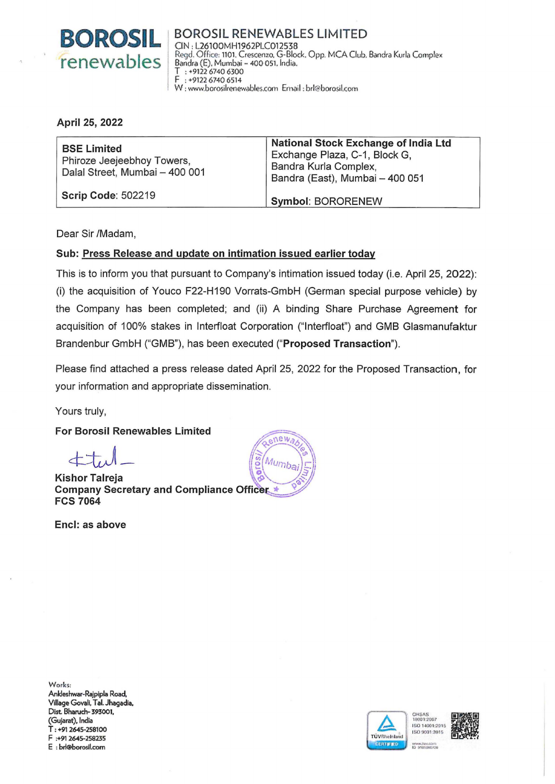

BOROSIL RENEWABLES LIMITED CIN: l26100MH1962PLC01253B Regel. Office: 1101. Crescenzo. G-Biock. Opp. MCA Club. Bandra Kurla Complex Bandra (E). Mumbai- 400 051. 1ndia.  $T$  : +9122 6740 6300<br> $F$  : +9122 6740 6514 F : +9122 6740 6514 W : www.borosilrenewables.com Email : brl@borosil.com

#### April 25, 2022

| <b>BSE Limited</b><br>Phiroze Jeejeebhoy Towers,<br>Dalal Street, Mumbai - 400 001 | <b>National Stock Exchange of India Ltd</b><br>Exchange Plaza, C-1, Block G,<br>Bandra Kurla Complex.<br>Bandra (East), Mumbai - 400 051 |
|------------------------------------------------------------------------------------|------------------------------------------------------------------------------------------------------------------------------------------|
| <b>Scrip Code: 502219</b>                                                          | <b>Symbol: BORORENEW</b>                                                                                                                 |

Dear Sir /Madam,

# Sub: Press Release and update on intimation issued earlier today

This is to inform you that pursuant to Company's intimation issued today (i.e. April25, 2022): (i) the acquisition of Youco F22-H190 Vorrats-GmbH (German special purpose vehicle) by the Company has been completed; and (ii) A binding Share Purchase Agreement for acquisition of 100% stakes in lnterfloat Corporation ("lnterfloat") and GMB Glasmanufaktur Brandenbur GmbH ("GMB"), has been executed ("Proposed Transaction").

Please find attached a press release dated April 25, 2022 for the Proposed Transaction, for your information and appropriate dissemination.

Yours truly,

For Borosil Renewables Limited

**Kishor Talreja** Company Secretary and Compliance Officer **FCS 7064** 

Encl: as above



Works: Anldeshwar-Rajpipla Road, Village Govali, Tal. Jhagadia, Dist. Bharuch- 393001, (Gujarat), India T: +91 2645-258100 F :+91 2645-258235 E : brl@borosil.com



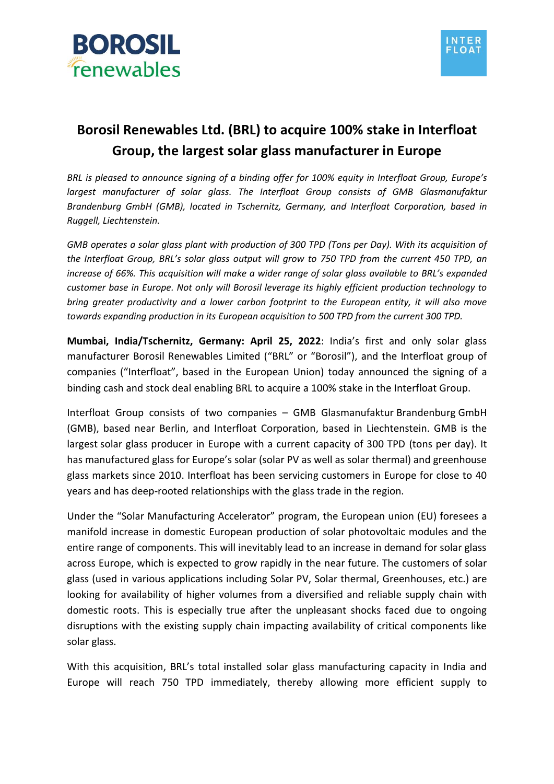



# **Borosil Renewables Ltd. (BRL) to acquire 100% stake in Interfloat Group, the largest solar glass manufacturer in Europe**

BRL is pleased to announce signing of a binding offer for 100% equity in Interfloat Group, Europe's *largest manufacturer of solar glass. The Interfloat Group consists of GMB Glasmanufaktur Brandenburg GmbH (GMB), located in Tschernitz, Germany, and Interfloat Corporation, based in Ruggell, Liechtenstein.* 

*GMB operates a solar glass plant with production of 300 TPD (Tons per Day). With its acquisition of the Interfloat Group, BRL's solar glass output will grow to 750 TPD from the current 450 TPD, an increase of 66%. This acquisition will make a wider range of solar glass available to BRL's expanded customer base in Europe. Not only will Borosil leverage its highly efficient production technology to bring greater productivity and a lower carbon footprint to the European entity, it will also move towards expanding production in its European acquisition to 500 TPD from the current 300 TPD.* 

**Mumbai, India/Tschernitz, Germany: April 25, 2022**: India's first and only solar glass manufacturer Borosil Renewables Limited ("BRL" or "Borosil"), and the Interfloat group of companies ("Interfloat", based in the European Union) today announced the signing of a binding cash and stock deal enabling BRL to acquire a 100% stake in the Interfloat Group.

Interfloat Group consists of two companies – GMB Glasmanufaktur Brandenburg GmbH (GMB), based near Berlin, and Interfloat Corporation, based in Liechtenstein. GMB is the largest solar glass producer in Europe with a current capacity of 300 TPD (tons per day). It has manufactured glass for Europe's solar (solar PV as well as solar thermal) and greenhouse glass markets since 2010. Interfloat has been servicing customers in Europe for close to 40 years and has deep-rooted relationships with the glass trade in the region.

Under the "Solar Manufacturing Accelerator" program, the European union (EU) foresees a manifold increase in domestic European production of solar photovoltaic modules and the entire range of components. This will inevitably lead to an increase in demand for solar glass across Europe, which is expected to grow rapidly in the near future. The customers of solar glass (used in various applications including Solar PV, Solar thermal, Greenhouses, etc.) are looking for availability of higher volumes from a diversified and reliable supply chain with domestic roots. This is especially true after the unpleasant shocks faced due to ongoing disruptions with the existing supply chain impacting availability of critical components like solar glass.

With this acquisition, BRL's total installed solar glass manufacturing capacity in India and Europe will reach 750 TPD immediately, thereby allowing more efficient supply to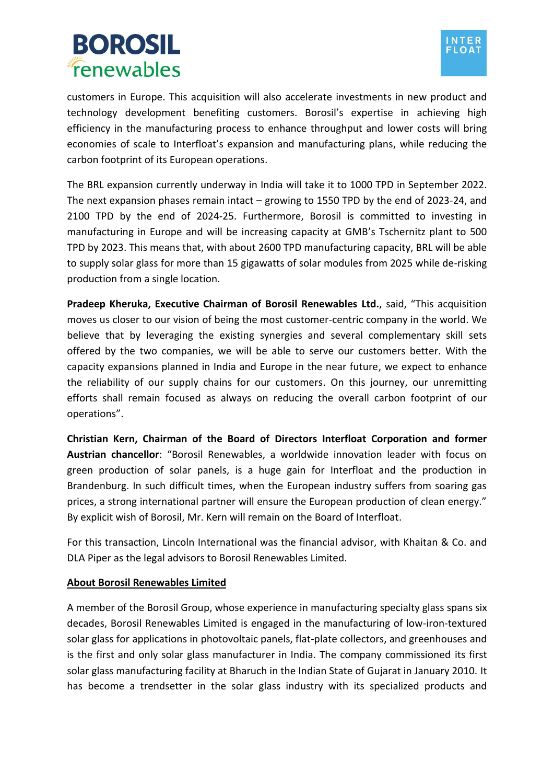# **BOROSIL** fenewables



customers in Europe. This acquisition will also accelerate investments in new product and technology development benefiting customers. Borosil's expertise in achieving high efficiency in the manufacturing process to enhance throughput and lower costs will bring economies of scale to Interfloat's expansion and manufacturing plans, while reducing the carbon footprint of its European operations.

The BRL expansion currently underway in India will take it to 1000 TPD in September 2022. The next expansion phases remain intact – growing to 1550 TPD by the end of 2023-24, and 2100 TPD by the end of 2024-25. Furthermore, Borosil is committed to investing in manufacturing in Europe and will be increasing capacity at GMB's Tschernitz plant to 500 TPD by 2023. This means that, with about 2600 TPD manufacturing capacity, BRL will be able to supply solar glass for more than 15 gigawatts of solar modules from 2025 while de-risking production from a single location.

**Pradeep Kheruka, Executive Chairman of Borosil Renewables Ltd.**, said, "This acquisition moves us closer to our vision of being the most customer-centric company in the world. We believe that by leveraging the existing synergies and several complementary skill sets offered by the two companies, we will be able to serve our customers better. With the capacity expansions planned in India and Europe in the near future, we expect to enhance the reliability of our supply chains for our customers. On this journey, our unremitting efforts shall remain focused as always on reducing the overall carbon footprint of our operations".

**Christian Kern, Chairman of the Board of Directors Interfloat Corporation and former Austrian chancellor**: "Borosil Renewables, a worldwide innovation leader with focus on green production of solar panels, is a huge gain for Interfloat and the production in Brandenburg. In such difficult times, when the European industry suffers from soaring gas prices, a strong international partner will ensure the European production of clean energy." By explicit wish of Borosil, Mr. Kern will remain on the Board of Interfloat.

For this transaction, Lincoln International was the financial advisor, with Khaitan & Co. and DLA Piper as the legal advisors to Borosil Renewables Limited.

# **About Borosil Renewables Limited**

A member of the Borosil Group, whose experience in manufacturing specialty glass spans six decades, Borosil Renewables Limited is engaged in the manufacturing of low-iron-textured solar glass for applications in photovoltaic panels, flat-plate collectors, and greenhouses and is the first and only solar glass manufacturer in India. The company commissioned its first solar glass manufacturing facility at Bharuch in the Indian State of Gujarat in January 2010. It has become a trendsetter in the solar glass industry with its specialized products and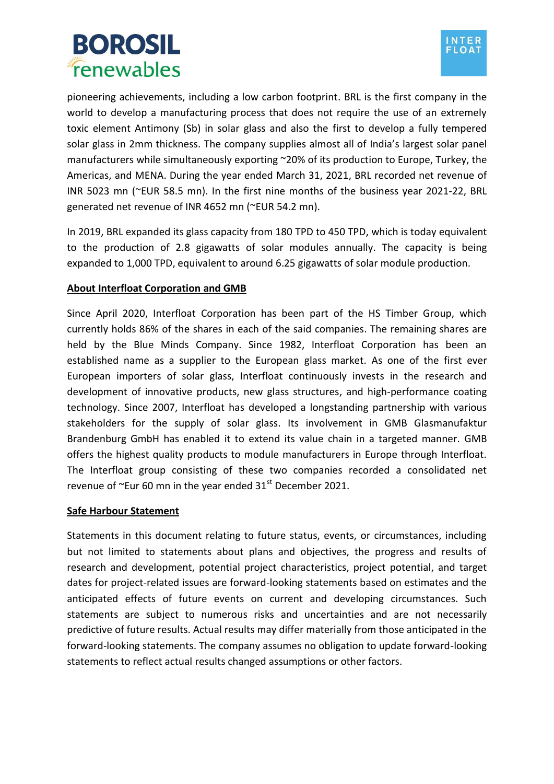



pioneering achievements, including a low carbon footprint. BRL is the first company in the world to develop a manufacturing process that does not require the use of an extremely toxic element Antimony (Sb) in solar glass and also the first to develop a fully tempered solar glass in 2mm thickness. The company supplies almost all of India's largest solar panel manufacturers while simultaneously exporting ~20% of its production to Europe, Turkey, the Americas, and MENA. During the year ended March 31, 2021, BRL recorded net revenue of INR 5023 mn (~EUR 58.5 mn). In the first nine months of the business year 2021-22, BRL generated net revenue of INR 4652 mn (~EUR 54.2 mn).

In 2019, BRL expanded its glass capacity from 180 TPD to 450 TPD, which is today equivalent to the production of 2.8 gigawatts of solar modules annually. The capacity is being expanded to 1,000 TPD, equivalent to around 6.25 gigawatts of solar module production.

# **About Interfloat Corporation and GMB**

Since April 2020, Interfloat Corporation has been part of the HS Timber Group, which currently holds 86% of the shares in each of the said companies. The remaining shares are held by the Blue Minds Company. Since 1982, Interfloat Corporation has been an established name as a supplier to the European glass market. As one of the first ever European importers of solar glass, Interfloat continuously invests in the research and development of innovative products, new glass structures, and high-performance coating technology. Since 2007, Interfloat has developed a longstanding partnership with various stakeholders for the supply of solar glass. Its involvement in GMB Glasmanufaktur Brandenburg GmbH has enabled it to extend its value chain in a targeted manner. GMB offers the highest quality products to module manufacturers in Europe through Interfloat. The Interfloat group consisting of these two companies recorded a consolidated net revenue of  $\sim$ Eur 60 mn in the year ended 31 $\mathrm{^{st}}$  December 2021.

#### **Safe Harbour Statement**

Statements in this document relating to future status, events, or circumstances, including but not limited to statements about plans and objectives, the progress and results of research and development, potential project characteristics, project potential, and target dates for project-related issues are forward-looking statements based on estimates and the anticipated effects of future events on current and developing circumstances. Such statements are subject to numerous risks and uncertainties and are not necessarily predictive of future results. Actual results may differ materially from those anticipated in the forward-looking statements. The company assumes no obligation to update forward-looking statements to reflect actual results changed assumptions or other factors.